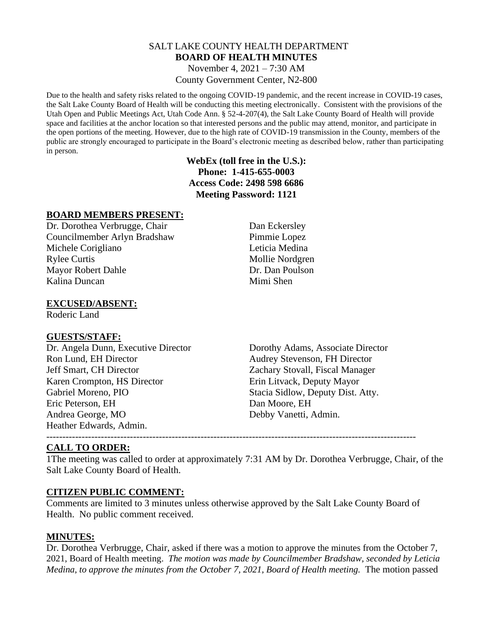## SALT LAKE COUNTY HEALTH DEPARTMENT **BOARD OF HEALTH MINUTES**

November 4, 2021 – 7:30 AM County Government Center, N2-800

Due to the health and safety risks related to the ongoing COVID-19 pandemic, and the recent increase in COVID-19 cases, the Salt Lake County Board of Health will be conducting this meeting electronically. Consistent with the provisions of the Utah Open and Public Meetings Act, Utah Code Ann. § 52-4-207(4), the Salt Lake County Board of Health will provide space and facilities at the anchor location so that interested persons and the public may attend, monitor, and participate in the open portions of the meeting. However, due to the high rate of COVID-19 transmission in the County, members of the public are strongly encouraged to participate in the Board's electronic meeting as described below, rather than participating in person.

## **WebEx (toll free in the U.S.): Phone: 1-415-655-0003 Access Code: 2498 598 6686 Meeting Password: 1121**

## **BOARD MEMBERS PRESENT:**

Dr. Dorothea Verbrugge, Chair Dan Eckersley Councilmember Arlyn Bradshaw Pimmie Lopez Michele Corigliano Leticia Medina Rylee Curtis Mollie Nordgren Mayor Robert Dahle Dr. Dan Poulson Kalina Duncan Mimi Shen

## **EXCUSED/ABSENT:**

Roderic Land

#### **GUESTS/STAFF:**

Dr. Angela Dunn, Executive Director Dorothy Adams, Associate Director Ron Lund, EH Director Audrey Stevenson, FH Director Jeff Smart, CH Director Zachary Stovall, Fiscal Manager Karen Crompton, HS Director Erin Litvack, Deputy Mayor Gabriel Moreno, PIO Stacia Sidlow, Deputy Dist. Atty. Eric Peterson, EH Dan Moore, EH Andrea George, MO Debby Vanetti, Admin. Heather Edwards, Admin.

# **CALL TO ORDER:**

1The meeting was called to order at approximately 7:31 AM by Dr. Dorothea Verbrugge, Chair, of the Salt Lake County Board of Health.

#### **CITIZEN PUBLIC COMMENT:**

Comments are limited to 3 minutes unless otherwise approved by the Salt Lake County Board of Health. No public comment received.

#### **MINUTES:**

Dr. Dorothea Verbrugge, Chair, asked if there was a motion to approve the minutes from the October 7, 2021, Board of Health meeting. *The motion was made by Councilmember Bradshaw, seconded by Leticia Medina, to approve the minutes from the October 7, 2021, Board of Health meeting.* The motion passed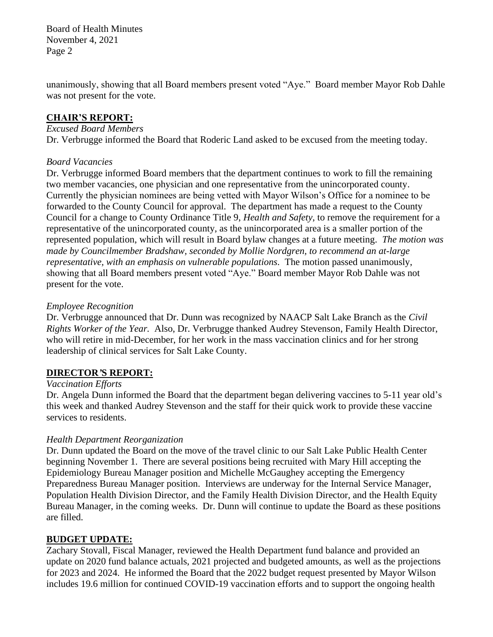Board of Health Minutes November 4, 2021 Page 2

unanimously, showing that all Board members present voted "Aye." Board member Mayor Rob Dahle was not present for the vote.

#### **CHAIR'S REPORT:**

#### *Excused Board Members*

Dr. Verbrugge informed the Board that Roderic Land asked to be excused from the meeting today.

## *Board Vacancies*

Dr. Verbrugge informed Board members that the department continues to work to fill the remaining two member vacancies, one physician and one representative from the unincorporated county. Currently the physician nominees are being vetted with Mayor Wilson's Office for a nominee to be forwarded to the County Council for approval. The department has made a request to the County Council for a change to County Ordinance Title 9, *Health and Safety*, to remove the requirement for a representative of the unincorporated county, as the unincorporated area is a smaller portion of the represented population, which will result in Board bylaw changes at a future meeting. *The motion was made by Councilmember Bradshaw, seconded by Mollie Nordgren, to recommend an at-large representative, with an emphasis on vulnerable populations.* The motion passed unanimously, showing that all Board members present voted "Aye." Board member Mayor Rob Dahle was not present for the vote.

## *Employee Recognition*

Dr. Verbrugge announced that Dr. Dunn was recognized by NAACP Salt Lake Branch as the *Civil Rights Worker of the Year.* Also, Dr. Verbrugge thanked Audrey Stevenson, Family Health Director, who will retire in mid-December, for her work in the mass vaccination clinics and for her strong leadership of clinical services for Salt Lake County.

# **DIRECTOR***'***S REPORT:**

# *Vaccination Efforts*

Dr. Angela Dunn informed the Board that the department began delivering vaccines to 5-11 year old's this week and thanked Audrey Stevenson and the staff for their quick work to provide these vaccine services to residents.

# *Health Department Reorganization*

Dr. Dunn updated the Board on the move of the travel clinic to our Salt Lake Public Health Center beginning November 1. There are several positions being recruited with Mary Hill accepting the Epidemiology Bureau Manager position and Michelle McGaughey accepting the Emergency Preparedness Bureau Manager position. Interviews are underway for the Internal Service Manager, Population Health Division Director, and the Family Health Division Director, and the Health Equity Bureau Manager, in the coming weeks. Dr. Dunn will continue to update the Board as these positions are filled.

# **BUDGET UPDATE:**

Zachary Stovall, Fiscal Manager, reviewed the Health Department fund balance and provided an update on 2020 fund balance actuals, 2021 projected and budgeted amounts, as well as the projections for 2023 and 2024. He informed the Board that the 2022 budget request presented by Mayor Wilson includes 19.6 million for continued COVID-19 vaccination efforts and to support the ongoing health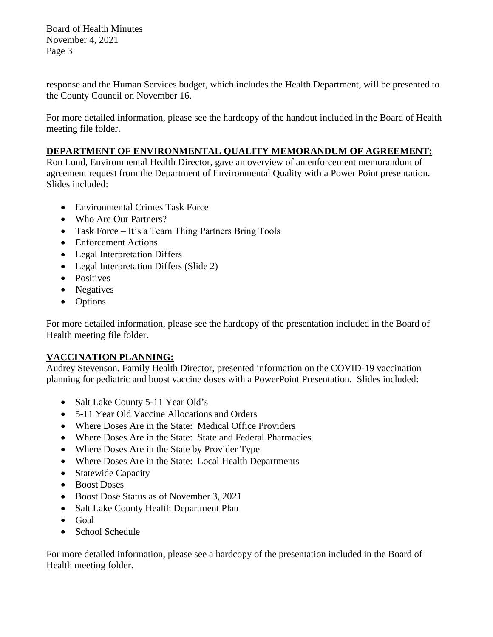Board of Health Minutes November 4, 2021 Page 3

response and the Human Services budget, which includes the Health Department, will be presented to the County Council on November 16.

For more detailed information, please see the hardcopy of the handout included in the Board of Health meeting file folder.

# **DEPARTMENT OF ENVIRONMENTAL QUALITY MEMORANDUM OF AGREEMENT:**

Ron Lund, Environmental Health Director, gave an overview of an enforcement memorandum of agreement request from the Department of Environmental Quality with a Power Point presentation. Slides included:

- Environmental Crimes Task Force
- Who Are Our Partners?
- Task Force It's a Team Thing Partners Bring Tools
- Enforcement Actions
- Legal Interpretation Differs
- Legal Interpretation Differs (Slide 2)
- Positives
- Negatives
- Options

For more detailed information, please see the hardcopy of the presentation included in the Board of Health meeting file folder.

# **VACCINATION PLANNING:**

Audrey Stevenson, Family Health Director, presented information on the COVID-19 vaccination planning for pediatric and boost vaccine doses with a PowerPoint Presentation. Slides included:

- Salt Lake County 5-11 Year Old's
- 5-11 Year Old Vaccine Allocations and Orders
- Where Doses Are in the State: Medical Office Providers
- Where Doses Are in the State: State and Federal Pharmacies
- Where Doses Are in the State by Provider Type
- Where Doses Are in the State: Local Health Departments
- Statewide Capacity
- Boost Doses
- Boost Dose Status as of November 3, 2021
- Salt Lake County Health Department Plan
- Goal
- School Schedule

For more detailed information, please see a hardcopy of the presentation included in the Board of Health meeting folder.